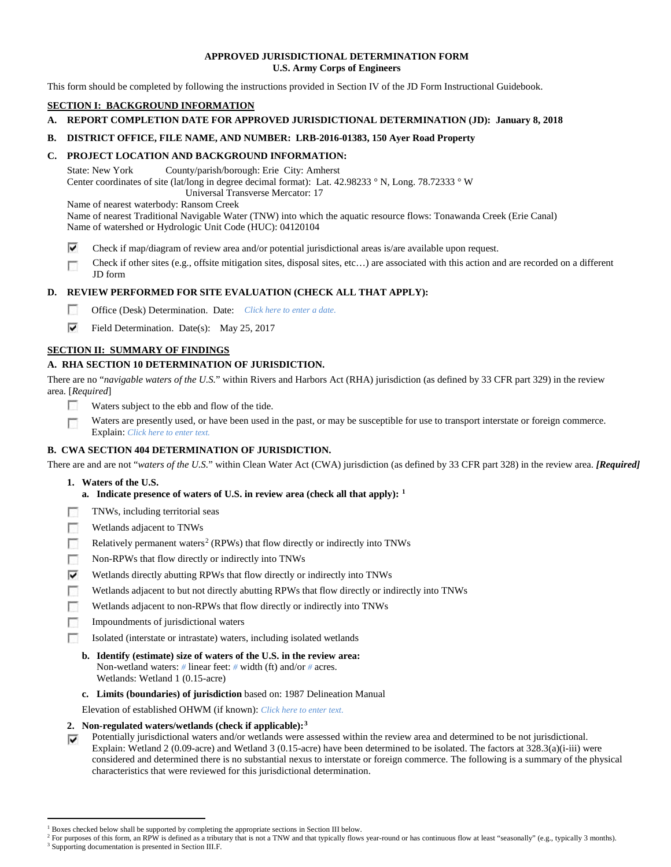# **APPROVED JURISDICTIONAL DETERMINATION FORM U.S. Army Corps of Engineers**

This form should be completed by following the instructions provided in Section IV of the JD Form Instructional Guidebook.

# **SECTION I: BACKGROUND INFORMATION**

**A. REPORT COMPLETION DATE FOR APPROVED JURISDICTIONAL DETERMINATION (JD): January 8, 2018**

# **B. DISTRICT OFFICE, FILE NAME, AND NUMBER: LRB-2016-01383, 150 Ayer Road Property**

# **C. PROJECT LOCATION AND BACKGROUND INFORMATION:**

State: New York County/parish/borough: Erie City: Amherst Center coordinates of site (lat/long in degree decimal format): Lat. 42.98233 ° N, Long. 78.72333 ° W Universal Transverse Mercator: 17

Name of nearest waterbody: Ransom Creek

- Name of nearest Traditional Navigable Water (TNW) into which the aquatic resource flows: Tonawanda Creek (Erie Canal) Name of watershed or Hydrologic Unit Code (HUC): 04120104
- ⊽ Check if map/diagram of review area and/or potential jurisdictional areas is/are available upon request.
- Check if other sites (e.g., offsite mitigation sites, disposal sites, etc…) are associated with this action and are recorded on a different г JD form

# **D. REVIEW PERFORMED FOR SITE EVALUATION (CHECK ALL THAT APPLY):**

- $\sim$ Office (Desk) Determination. Date: *Click here to enter a date.*
- ⊽ Field Determination. Date(s): May 25, 2017

# **SECTION II: SUMMARY OF FINDINGS**

# **A. RHA SECTION 10 DETERMINATION OF JURISDICTION.**

There are no "*navigable waters of the U.S.*" within Rivers and Harbors Act (RHA) jurisdiction (as defined by 33 CFR part 329) in the review area. [*Required*]

- п Waters subject to the ebb and flow of the tide.
- Waters are presently used, or have been used in the past, or may be susceptible for use to transport interstate or foreign commerce. п Explain: *Click here to enter text.*

# **B. CWA SECTION 404 DETERMINATION OF JURISDICTION.**

There are and are not "*waters of the U.S.*" within Clean Water Act (CWA) jurisdiction (as defined by 33 CFR part 328) in the review area. *[Required]*

- **1. Waters of the U.S.**
	- **a. Indicate presence of waters of U.S. in review area (check all that apply): [1](#page-0-0)**
- п TNWs, including territorial seas
- T. Wetlands adjacent to TNWs
- $\sim$ Relatively permanent waters<sup>[2](#page-0-1)</sup> (RPWs) that flow directly or indirectly into TNWs
- $\sim$ Non-RPWs that flow directly or indirectly into TNWs
- ⊽ Wetlands directly abutting RPWs that flow directly or indirectly into TNWs
- Wetlands adjacent to but not directly abutting RPWs that flow directly or indirectly into TNWs n
- п Wetlands adjacent to non-RPWs that flow directly or indirectly into TNWs
- n. Impoundments of jurisdictional waters
- Isolated (interstate or intrastate) waters, including isolated wetlands п
	- **b. Identify (estimate) size of waters of the U.S. in the review area:** Non-wetland waters: *#* linear feet: *#* width (ft) and/or *#* acres. Wetlands: Wetland 1 (0.15-acre)
	- **c. Limits (boundaries) of jurisdiction** based on: 1987 Delineation Manual

Elevation of established OHWM (if known): *Click here to enter text.*

- **2. Non-regulated waters/wetlands (check if applicable):[3](#page-0-2)**
- Potentially jurisdictional waters and/or wetlands were assessed within the review area and determined to be not jurisdictional. ⊽ Explain: Wetland 2 (0.09-acre) and Wetland 3 (0.15-acre) have been determined to be isolated. The factors at 328.3(a)(i-iii) were considered and determined there is no substantial nexus to interstate or foreign commerce. The following is a summary of the physical characteristics that were reviewed for this jurisdictional determination.

<sup>&</sup>lt;sup>1</sup> Boxes checked below shall be supported by completing the appropriate sections in Section III below.

<span id="page-0-2"></span><span id="page-0-1"></span><span id="page-0-0"></span>For purposes of this form, an RPW is defined as a tributary that is not a TNW and that typically flows year-round or has continuous flow at least "seasonally" (e.g., typically 3 months). <sup>3</sup> Supporting documentation is presented in Section III.F.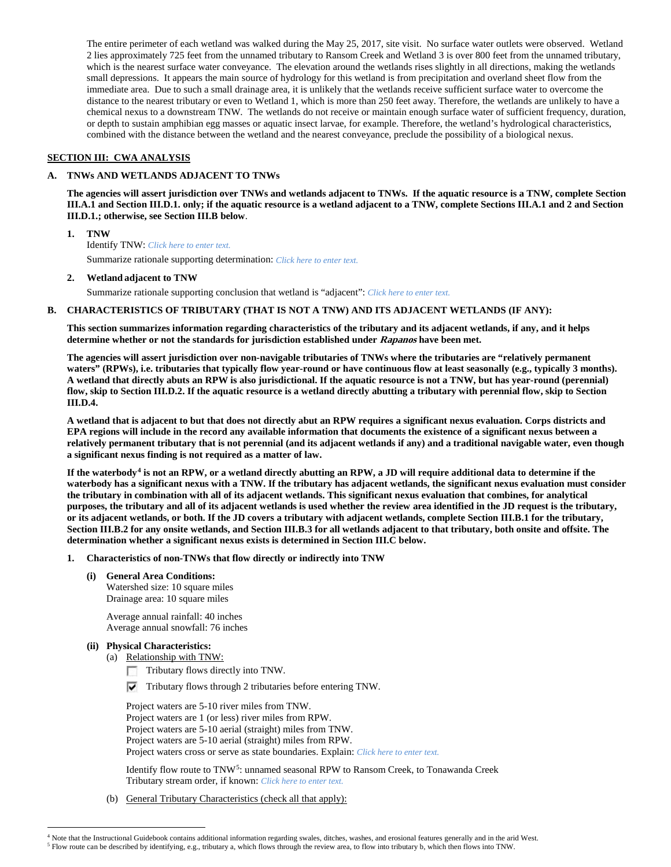The entire perimeter of each wetland was walked during the May 25, 2017, site visit. No surface water outlets were observed. Wetland 2 lies approximately 725 feet from the unnamed tributary to Ransom Creek and Wetland 3 is over 800 feet from the unnamed tributary, which is the nearest surface water conveyance. The elevation around the wetlands rises slightly in all directions, making the wetlands small depressions. It appears the main source of hydrology for this wetland is from precipitation and overland sheet flow from the immediate area. Due to such a small drainage area, it is unlikely that the wetlands receive sufficient surface water to overcome the distance to the nearest tributary or even to Wetland 1, which is more than 250 feet away. Therefore, the wetlands are unlikely to have a chemical nexus to a downstream TNW. The wetlands do not receive or maintain enough surface water of sufficient frequency, duration, or depth to sustain amphibian egg masses or aquatic insect larvae, for example. Therefore, the wetland's hydrological characteristics, combined with the distance between the wetland and the nearest conveyance, preclude the possibility of a biological nexus.

# **SECTION III: CWA ANALYSIS**

#### **A. TNWs AND WETLANDS ADJACENT TO TNWs**

**The agencies will assert jurisdiction over TNWs and wetlands adjacent to TNWs. If the aquatic resource is a TNW, complete Section III.A.1 and Section III.D.1. only; if the aquatic resource is a wetland adjacent to a TNW, complete Sections III.A.1 and 2 and Section III.D.1.; otherwise, see Section III.B below**.

#### **1. TNW**

Identify TNW: *Click here to enter text.*

Summarize rationale supporting determination: *Click here to enter text.*

# **2. Wetland adjacent to TNW**

Summarize rationale supporting conclusion that wetland is "adjacent": *Click here to enter text.*

## **B. CHARACTERISTICS OF TRIBUTARY (THAT IS NOT A TNW) AND ITS ADJACENT WETLANDS (IF ANY):**

**This section summarizes information regarding characteristics of the tributary and its adjacent wetlands, if any, and it helps determine whether or not the standards for jurisdiction established under Rapanos have been met.** 

**The agencies will assert jurisdiction over non-navigable tributaries of TNWs where the tributaries are "relatively permanent waters" (RPWs), i.e. tributaries that typically flow year-round or have continuous flow at least seasonally (e.g., typically 3 months). A wetland that directly abuts an RPW is also jurisdictional. If the aquatic resource is not a TNW, but has year-round (perennial) flow, skip to Section III.D.2. If the aquatic resource is a wetland directly abutting a tributary with perennial flow, skip to Section III.D.4.**

**A wetland that is adjacent to but that does not directly abut an RPW requires a significant nexus evaluation. Corps districts and EPA regions will include in the record any available information that documents the existence of a significant nexus between a relatively permanent tributary that is not perennial (and its adjacent wetlands if any) and a traditional navigable water, even though a significant nexus finding is not required as a matter of law.**

**If the waterbody[4](#page-1-0) is not an RPW, or a wetland directly abutting an RPW, a JD will require additional data to determine if the waterbody has a significant nexus with a TNW. If the tributary has adjacent wetlands, the significant nexus evaluation must consider the tributary in combination with all of its adjacent wetlands. This significant nexus evaluation that combines, for analytical purposes, the tributary and all of its adjacent wetlands is used whether the review area identified in the JD request is the tributary, or its adjacent wetlands, or both. If the JD covers a tributary with adjacent wetlands, complete Section III.B.1 for the tributary, Section III.B.2 for any onsite wetlands, and Section III.B.3 for all wetlands adjacent to that tributary, both onsite and offsite. The determination whether a significant nexus exists is determined in Section III.C below.**

#### **1. Characteristics of non-TNWs that flow directly or indirectly into TNW**

**(i) General Area Conditions:** Watershed size: 10 square miles Drainage area: 10 square miles

> Average annual rainfall: 40 inches Average annual snowfall: 76 inches

#### **(ii) Physical Characteristics:**

(a) Relationship with TNW:

- Tributary flows directly into TNW. m.
- $\triangledown$  Tributary flows through 2 tributaries before entering TNW.

Project waters are 5-10 river miles from TNW. Project waters are 1 (or less) river miles from RPW. Project waters are 5-10 aerial (straight) miles from TNW. Project waters are 5-10 aerial (straight) miles from RPW. Project waters cross or serve as state boundaries. Explain: *Click here to enter text.*

Identify flow route to TNW[5:](#page-1-1) unnamed seasonal RPW to Ransom Creek, to Tonawanda Creek Tributary stream order, if known: *Click here to enter text.*

(b) General Tributary Characteristics (check all that apply):

 <sup>4</sup> Note that the Instructional Guidebook contains additional information regarding swales, ditches, washes, and erosional features generally and in the arid West.

<span id="page-1-1"></span><span id="page-1-0"></span><sup>5</sup> Flow route can be described by identifying, e.g., tributary a, which flows through the review area, to flow into tributary b, which then flows into TNW.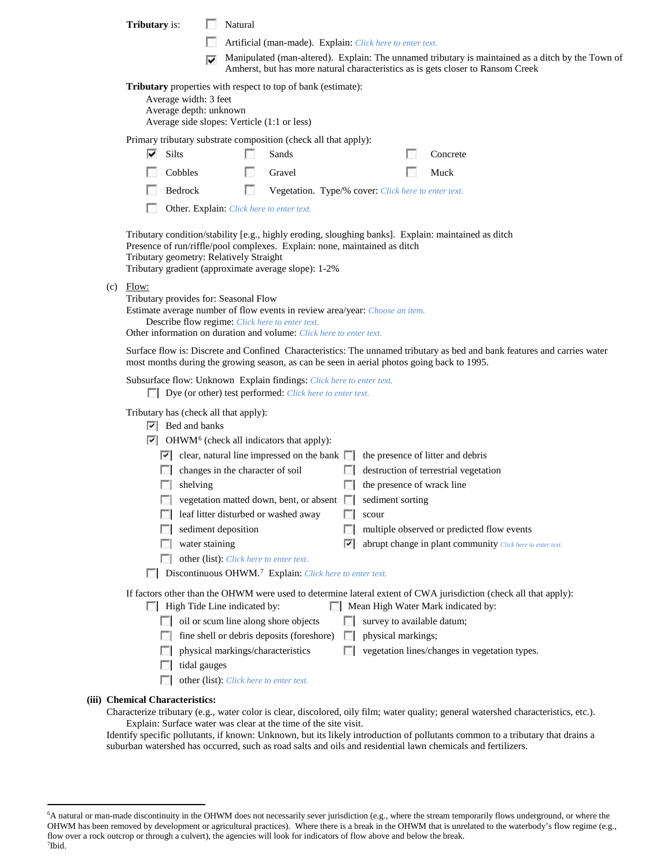|                                                                                                                                                                                                                                                   | <b>Tributary</b> is:                                                                                                                                                                                                                                                                                                             | Natural                                                                                                                                                                                          |                                                                                                                                                                                              |                          |  |                                                                     |                                                            |  |
|---------------------------------------------------------------------------------------------------------------------------------------------------------------------------------------------------------------------------------------------------|----------------------------------------------------------------------------------------------------------------------------------------------------------------------------------------------------------------------------------------------------------------------------------------------------------------------------------|--------------------------------------------------------------------------------------------------------------------------------------------------------------------------------------------------|----------------------------------------------------------------------------------------------------------------------------------------------------------------------------------------------|--------------------------|--|---------------------------------------------------------------------|------------------------------------------------------------|--|
|                                                                                                                                                                                                                                                   |                                                                                                                                                                                                                                                                                                                                  |                                                                                                                                                                                                  | Artificial (man-made). Explain: Click here to enter text.                                                                                                                                    |                          |  |                                                                     |                                                            |  |
|                                                                                                                                                                                                                                                   |                                                                                                                                                                                                                                                                                                                                  | ⊽                                                                                                                                                                                                | Manipulated (man-altered). Explain: The unnamed tributary is maintained as a ditch by the Town of                                                                                            |                          |  |                                                                     |                                                            |  |
| Amherst, but has more natural characteristics as is gets closer to Ransom Creek<br>Tributary properties with respect to top of bank (estimate):<br>Average width: 3 feet<br>Average depth: unknown<br>Average side slopes: Verticle (1:1 or less) |                                                                                                                                                                                                                                                                                                                                  |                                                                                                                                                                                                  |                                                                                                                                                                                              |                          |  |                                                                     |                                                            |  |
|                                                                                                                                                                                                                                                   | Primary tributary substrate composition (check all that apply):                                                                                                                                                                                                                                                                  |                                                                                                                                                                                                  |                                                                                                                                                                                              |                          |  |                                                                     |                                                            |  |
|                                                                                                                                                                                                                                                   | ⊽<br>Silts                                                                                                                                                                                                                                                                                                                       |                                                                                                                                                                                                  | Sands                                                                                                                                                                                        |                          |  | Concrete                                                            |                                                            |  |
|                                                                                                                                                                                                                                                   | Cobbles                                                                                                                                                                                                                                                                                                                          | L.                                                                                                                                                                                               | Gravel                                                                                                                                                                                       |                          |  | Muck                                                                |                                                            |  |
|                                                                                                                                                                                                                                                   | Bedrock                                                                                                                                                                                                                                                                                                                          | п                                                                                                                                                                                                | Vegetation. Type/% cover: Click here to enter text.                                                                                                                                          |                          |  |                                                                     |                                                            |  |
|                                                                                                                                                                                                                                                   | Other. Explain: Click here to enter text.<br>Tributary condition/stability [e.g., highly eroding, sloughing banks]. Explain: maintained as ditch<br>Presence of run/riffle/pool complexes. Explain: none, maintained as ditch<br>Tributary geometry: Relatively Straight<br>Tributary gradient (approximate average slope): 1-2% |                                                                                                                                                                                                  |                                                                                                                                                                                              |                          |  |                                                                     |                                                            |  |
|                                                                                                                                                                                                                                                   |                                                                                                                                                                                                                                                                                                                                  |                                                                                                                                                                                                  |                                                                                                                                                                                              |                          |  |                                                                     |                                                            |  |
| (c)                                                                                                                                                                                                                                               | Flow:<br>Tributary provides for: Seasonal Flow<br>Estimate average number of flow events in review area/year: Choose an item.<br>Describe flow regime: Click here to enter text.<br>Other information on duration and volume: Click here to enter text.                                                                          |                                                                                                                                                                                                  |                                                                                                                                                                                              |                          |  |                                                                     |                                                            |  |
| Surface flow is: Discrete and Confined Characteristics: The unnamed tributary as bed and bank features and carries water<br>most months during the growing season, as can be seen in aerial photos going back to 1995.                            |                                                                                                                                                                                                                                                                                                                                  |                                                                                                                                                                                                  |                                                                                                                                                                                              |                          |  |                                                                     |                                                            |  |
|                                                                                                                                                                                                                                                   | Subsurface flow: Unknown Explain findings: Click here to enter text.<br>Dye (or other) test performed: Click here to enter text.                                                                                                                                                                                                 |                                                                                                                                                                                                  |                                                                                                                                                                                              |                          |  |                                                                     |                                                            |  |
|                                                                                                                                                                                                                                                   | Tributary has (check all that apply):<br>$ \nabla $ Bed and banks<br>$\sim$<br>shelving                                                                                                                                                                                                                                          | changes in the character of soil                                                                                                                                                                 | $\triangleright$ OHWM <sup>6</sup> (check all indicators that apply):<br>$\vert \cdot \vert$ clear, natural line impressed on the bank $\vert \cdot \vert$ the presence of litter and debris | $\mathbb{R}$             |  | destruction of terrestrial vegetation<br>the presence of wrack line |                                                            |  |
|                                                                                                                                                                                                                                                   | <b>COL</b>                                                                                                                                                                                                                                                                                                                       |                                                                                                                                                                                                  | vegetation matted down, bent, or absent $\Box$                                                                                                                                               | sediment sorting         |  |                                                                     |                                                            |  |
|                                                                                                                                                                                                                                                   |                                                                                                                                                                                                                                                                                                                                  | leaf litter disturbed or washed away                                                                                                                                                             |                                                                                                                                                                                              | scour                    |  |                                                                     |                                                            |  |
|                                                                                                                                                                                                                                                   |                                                                                                                                                                                                                                                                                                                                  | sediment deposition                                                                                                                                                                              |                                                                                                                                                                                              | <b>COL</b>               |  | multiple observed or predicted flow events                          |                                                            |  |
|                                                                                                                                                                                                                                                   |                                                                                                                                                                                                                                                                                                                                  | water staining                                                                                                                                                                                   |                                                                                                                                                                                              | ⊽                        |  |                                                                     | abrupt change in plant community Click here to enter text. |  |
|                                                                                                                                                                                                                                                   | $\sim$                                                                                                                                                                                                                                                                                                                           | other (list): Click here to enter text.                                                                                                                                                          | Discontinuous OHWM. <sup>7</sup> Explain: Click here to enter text.                                                                                                                          |                          |  |                                                                     |                                                            |  |
|                                                                                                                                                                                                                                                   |                                                                                                                                                                                                                                                                                                                                  | If factors other than the OHWM were used to determine lateral extent of CWA jurisdiction (check all that apply):<br>High Tide Line indicated by:<br>Mean High Water Mark indicated by:<br>$\sim$ |                                                                                                                                                                                              |                          |  |                                                                     |                                                            |  |
|                                                                                                                                                                                                                                                   |                                                                                                                                                                                                                                                                                                                                  | oil or scum line along shore objects                                                                                                                                                             |                                                                                                                                                                                              |                          |  | survey to available datum;                                          |                                                            |  |
|                                                                                                                                                                                                                                                   |                                                                                                                                                                                                                                                                                                                                  |                                                                                                                                                                                                  | fine shell or debris deposits (foreshore)                                                                                                                                                    | physical markings;<br>L. |  |                                                                     |                                                            |  |
|                                                                                                                                                                                                                                                   |                                                                                                                                                                                                                                                                                                                                  | physical markings/characteristics<br>tidal gauges                                                                                                                                                |                                                                                                                                                                                              |                          |  | vegetation lines/changes in vegetation types.                       |                                                            |  |
|                                                                                                                                                                                                                                                   | U                                                                                                                                                                                                                                                                                                                                | other (list): Click here to enter text.                                                                                                                                                          |                                                                                                                                                                                              |                          |  |                                                                     |                                                            |  |

# **(iii) Chemical Characteristics:**

Characterize tributary (e.g., water color is clear, discolored, oily film; water quality; general watershed characteristics, etc.). Explain: Surface water was clear at the time of the site visit.

Identify specific pollutants, if known: Unknown, but its likely introduction of pollutants common to a tributary that drains a suburban watershed has occurred, such as road salts and oils and residential lawn chemicals and fertilizers.

<span id="page-2-1"></span><span id="page-2-0"></span> <sup>6</sup> <sup>6</sup>A natural or man-made discontinuity in the OHWM does not necessarily sever jurisdiction (e.g., where the stream temporarily flows underground, or where the OHWM has been removed by development or agricultural practices). Where there is a break in the OHWM that is unrelated to the waterbody's flow regime (e.g., flow over a rock outcrop or through a culvert), the agencies will look for indicators of flow above and below the break. 7 Ibid.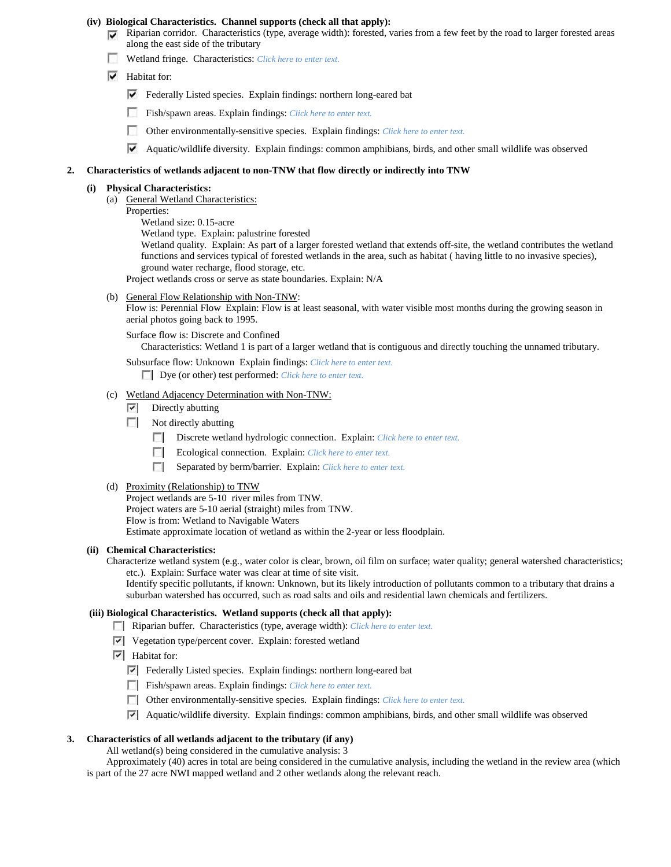#### **(iv) Biological Characteristics. Channel supports (check all that apply):**

- $\nabla$  Riparian corridor. Characteristics (type, average width): forested, varies from a few feet by the road to larger forested areas along the east side of the tributary
	- Wetland fringe. Characteristics: *Click here to enter text.*
	- $\overline{\triangledown}$  Habitat for:
		- Federally Listed species. Explain findings: northern long-eared bat
		- Fish/spawn areas. Explain findings: *Click here to enter text.* n
		- $\sim$ Other environmentally-sensitive species. Explain findings: *Click here to enter text.*
		- Aquatic/wildlife diversity. Explain findings: common amphibians, birds, and other small wildlife was observed

## **2. Characteristics of wetlands adjacent to non-TNW that flow directly or indirectly into TNW**

#### **(i) Physical Characteristics:**

- (a) General Wetland Characteristics:
	- Properties:
		- Wetland size: 0.15-acre
		- Wetland type. Explain: palustrine forested

Wetland quality. Explain: As part of a larger forested wetland that extends off-site, the wetland contributes the wetland functions and services typical of forested wetlands in the area, such as habitat ( having little to no invasive species), ground water recharge, flood storage, etc.

Project wetlands cross or serve as state boundaries. Explain: N/A

(b) General Flow Relationship with Non-TNW:

Flow is: Perennial Flow Explain: Flow is at least seasonal, with water visible most months during the growing season in aerial photos going back to 1995.

Surface flow is: Discrete and Confined

Characteristics: Wetland 1 is part of a larger wetland that is contiguous and directly touching the unnamed tributary.

Subsurface flow: Unknown Explain findings: *Click here to enter text.* Dye (or other) test performed: *Click here to enter text.*

(c) Wetland Adjacency Determination with Non-TNW:

- $\triangledown$  Directly abutting
- Not directly abutting
	- Discrete wetland hydrologic connection. Explain: *Click here to enter text.*
	- $\sim$ Ecological connection. Explain: *Click here to enter text.*
	- $\overline{a}$ Separated by berm/barrier. Explain: *Click here to enter text.*
- (d) Proximity (Relationship) to TNW

Project wetlands are 5-10 river miles from TNW. Project waters are 5-10 aerial (straight) miles from TNW. Flow is from: Wetland to Navigable Waters Estimate approximate location of wetland as within the 2-year or less floodplain.

#### **(ii) Chemical Characteristics:**

Characterize wetland system (e.g., water color is clear, brown, oil film on surface; water quality; general watershed characteristics; etc.). Explain: Surface water was clear at time of site visit.

Identify specific pollutants, if known: Unknown, but its likely introduction of pollutants common to a tributary that drains a suburban watershed has occurred, such as road salts and oils and residential lawn chemicals and fertilizers.

# **(iii) Biological Characteristics. Wetland supports (check all that apply):**

- Riparian buffer. Characteristics (type, average width): *Click here to enter text.*
- $\triangledown$  Vegetation type/percent cover. Explain: forested wetland
- $\overline{\triangledown}$  Habitat for:
	- Federally Listed species. Explain findings: northern long-eared bat
	- Fish/spawn areas. Explain findings: *Click here to enter text.*
	- Other environmentally-sensitive species. Explain findings: *Click here to enter text.*
	- Aquatic/wildlife diversity. Explain findings: common amphibians, birds, and other small wildlife was observed

# **3. Characteristics of all wetlands adjacent to the tributary (if any)**

All wetland(s) being considered in the cumulative analysis: 3

Approximately (40) acres in total are being considered in the cumulative analysis, including the wetland in the review area (which is part of the 27 acre NWI mapped wetland and 2 other wetlands along the relevant reach.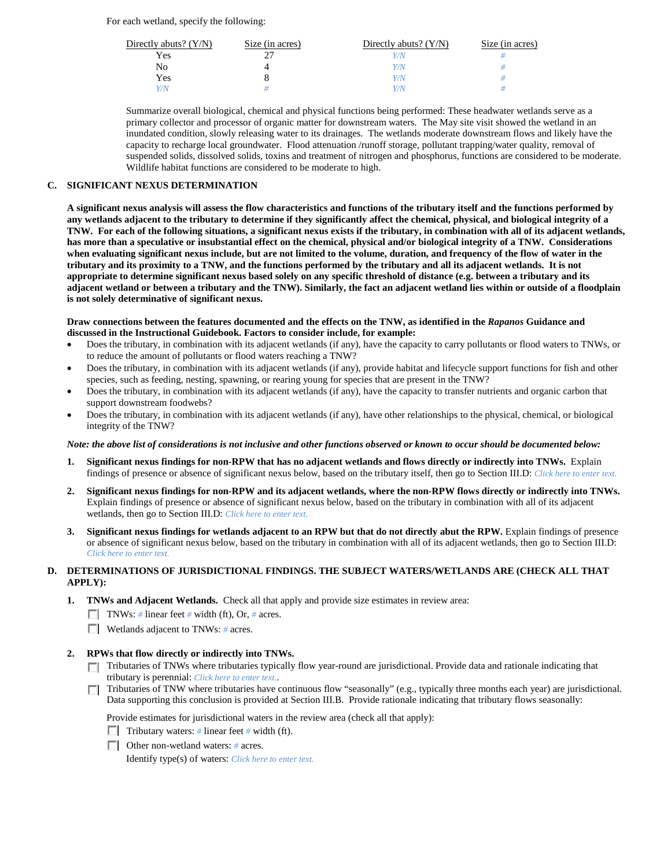For each wetland, specify the following:

| Directly abuts? $(Y/N)$ | Size (in acres) | Directly abuts? $(Y/N)$ | Size (in acres) |
|-------------------------|-----------------|-------------------------|-----------------|
| Yes                     |                 | Y/N                     |                 |
| No                      |                 | Y/N                     |                 |
| Yes                     |                 | Y/N                     |                 |
| Y/N                     |                 | Y / N                   |                 |

Summarize overall biological, chemical and physical functions being performed: These headwater wetlands serve as a primary collector and processor of organic matter for downstream waters. The May site visit showed the wetland in an inundated condition, slowly releasing water to its drainages. The wetlands moderate downstream flows and likely have the capacity to recharge local groundwater. Flood attenuation /runoff storage, pollutant trapping/water quality, removal of suspended solids, dissolved solids, toxins and treatment of nitrogen and phosphorus, functions are considered to be moderate. Wildlife habitat functions are considered to be moderate to high.

# **C. SIGNIFICANT NEXUS DETERMINATION**

**A significant nexus analysis will assess the flow characteristics and functions of the tributary itself and the functions performed by any wetlands adjacent to the tributary to determine if they significantly affect the chemical, physical, and biological integrity of a TNW. For each of the following situations, a significant nexus exists if the tributary, in combination with all of its adjacent wetlands, has more than a speculative or insubstantial effect on the chemical, physical and/or biological integrity of a TNW. Considerations when evaluating significant nexus include, but are not limited to the volume, duration, and frequency of the flow of water in the tributary and its proximity to a TNW, and the functions performed by the tributary and all its adjacent wetlands. It is not appropriate to determine significant nexus based solely on any specific threshold of distance (e.g. between a tributary and its adjacent wetland or between a tributary and the TNW). Similarly, the fact an adjacent wetland lies within or outside of a floodplain is not solely determinative of significant nexus.** 

#### **Draw connections between the features documented and the effects on the TNW, as identified in the** *Rapanos* **Guidance and discussed in the Instructional Guidebook. Factors to consider include, for example:**

- Does the tributary, in combination with its adjacent wetlands (if any), have the capacity to carry pollutants or flood waters to TNWs, or to reduce the amount of pollutants or flood waters reaching a TNW?
- Does the tributary, in combination with its adjacent wetlands (if any), provide habitat and lifecycle support functions for fish and other species, such as feeding, nesting, spawning, or rearing young for species that are present in the TNW?
- Does the tributary, in combination with its adjacent wetlands (if any), have the capacity to transfer nutrients and organic carbon that support downstream foodwebs?
- Does the tributary, in combination with its adjacent wetlands (if any), have other relationships to the physical, chemical, or biological integrity of the TNW?

# *Note: the above list of considerations is not inclusive and other functions observed or known to occur should be documented below:*

- **1. Significant nexus findings for non-RPW that has no adjacent wetlands and flows directly or indirectly into TNWs.** Explain findings of presence or absence of significant nexus below, based on the tributary itself, then go to Section III.D: *Click here to enter text.*
- **2. Significant nexus findings for non-RPW and its adjacent wetlands, where the non-RPW flows directly or indirectly into TNWs.**  Explain findings of presence or absence of significant nexus below, based on the tributary in combination with all of its adjacent wetlands, then go to Section III.D: *Click here to enter text.*
- **3. Significant nexus findings for wetlands adjacent to an RPW but that do not directly abut the RPW.** Explain findings of presence or absence of significant nexus below, based on the tributary in combination with all of its adjacent wetlands, then go to Section III.D: *Click here to enter text.*

# **D. DETERMINATIONS OF JURISDICTIONAL FINDINGS. THE SUBJECT WATERS/WETLANDS ARE (CHECK ALL THAT APPLY):**

- **1. TNWs and Adjacent Wetlands.** Check all that apply and provide size estimates in review area:
	- TNWs: *#* linear feet *#* width (ft), Or, *#* acres.
	- **Wetlands adjacent to TNWs: # acres.**

# **2. RPWs that flow directly or indirectly into TNWs.**

- Tributaries of TNWs where tributaries typically flow year-round are jurisdictional. Provide data and rationale indicating that tributary is perennial: *Click here to enter text.*.
- Tributaries of TNW where tributaries have continuous flow "seasonally" (e.g., typically three months each year) are jurisdictional. Data supporting this conclusion is provided at Section III.B. Provide rationale indicating that tributary flows seasonally:

Provide estimates for jurisdictional waters in the review area (check all that apply):

- **Tributary waters:** # linear feet # width (ft).
- Other non-wetland waters: *#* acres.

Identify type(s) of waters: *Click here to enter text.*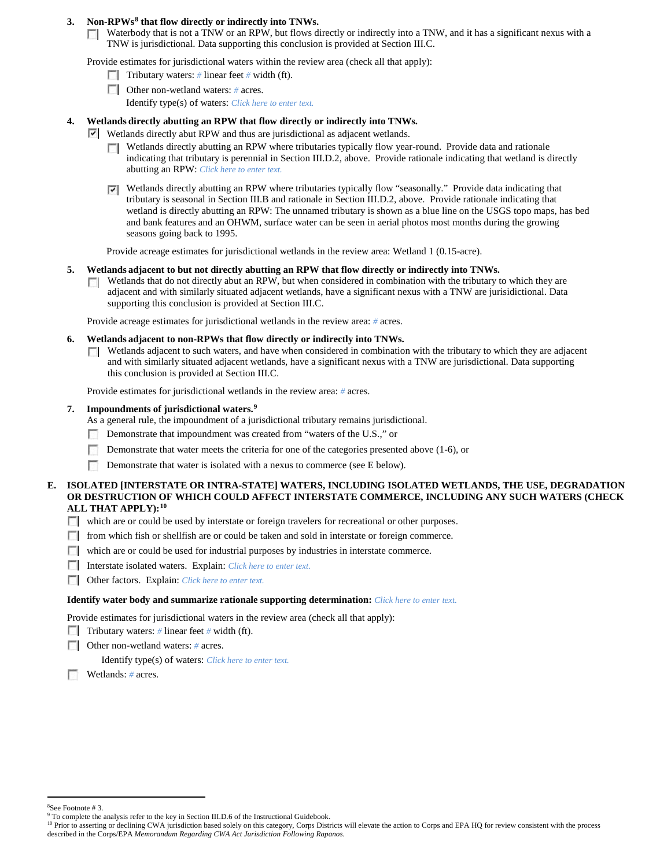# **3. Non-RPWs[8](#page-5-0) that flow directly or indirectly into TNWs.**

 $\Box$  Waterbody that is not a TNW or an RPW, but flows directly or indirectly into a TNW, and it has a significant nexus with a TNW is jurisdictional. Data supporting this conclusion is provided at Section III.C.

Provide estimates for jurisdictional waters within the review area (check all that apply):

- **Tributary waters:** # linear feet # width (ft).
- Other non-wetland waters: # acres. Identify type(s) of waters: *Click here to enter text.*

## **4. Wetlands directly abutting an RPW that flow directly or indirectly into TNWs.**

- Wetlands directly abut RPW and thus are jurisdictional as adjacent wetlands.
	- Wetlands directly abutting an RPW where tributaries typically flow year-round. Provide data and rationale  $\Box$ indicating that tributary is perennial in Section III.D.2, above. Provide rationale indicating that wetland is directly abutting an RPW: *Click here to enter text.*
	- Wetlands directly abutting an RPW where tributaries typically flow "seasonally." Provide data indicating that tributary is seasonal in Section III.B and rationale in Section III.D.2, above. Provide rationale indicating that wetland is directly abutting an RPW: The unnamed tributary is shown as a blue line on the USGS topo maps, has bed and bank features and an OHWM, surface water can be seen in aerial photos most months during the growing seasons going back to 1995.

Provide acreage estimates for jurisdictional wetlands in the review area: Wetland 1 (0.15-acre).

#### **5. Wetlands adjacent to but not directly abutting an RPW that flow directly or indirectly into TNWs.**

Wetlands that do not directly abut an RPW, but when considered in combination with the tributary to which they are  $\mathcal{L}$ adjacent and with similarly situated adjacent wetlands, have a significant nexus with a TNW are jurisidictional. Data supporting this conclusion is provided at Section III.C.

Provide acreage estimates for jurisdictional wetlands in the review area: *#* acres.

#### **6. Wetlands adjacent to non-RPWs that flow directly or indirectly into TNWs.**

Wetlands adjacent to such waters, and have when considered in combination with the tributary to which they are adjacent **The Company** and with similarly situated adjacent wetlands, have a significant nexus with a TNW are jurisdictional. Data supporting this conclusion is provided at Section III.C.

Provide estimates for jurisdictional wetlands in the review area: *#* acres.

# **7. Impoundments of jurisdictional waters. [9](#page-5-1)**

As a general rule, the impoundment of a jurisdictional tributary remains jurisdictional.

- Demonstrate that impoundment was created from "waters of the U.S.," or
- п Demonstrate that water meets the criteria for one of the categories presented above (1-6), or
- Demonstrate that water is isolated with a nexus to commerce (see E below).

#### **E. ISOLATED [INTERSTATE OR INTRA-STATE] WATERS, INCLUDING ISOLATED WETLANDS, THE USE, DEGRADATION OR DESTRUCTION OF WHICH COULD AFFECT INTERSTATE COMMERCE, INCLUDING ANY SUCH WATERS (CHECK ALL THAT APPLY):[10](#page-5-2)**

- which are or could be used by interstate or foreign travelers for recreational or other purposes.
- from which fish or shellfish are or could be taken and sold in interstate or foreign commerce.
- which are or could be used for industrial purposes by industries in interstate commerce.
- Interstate isolated waters.Explain: *Click here to enter text.*
- Other factors.Explain: *Click here to enter text.*

#### **Identify water body and summarize rationale supporting determination:** *Click here to enter text.*

Provide estimates for jurisdictional waters in the review area (check all that apply):

- Tributary waters: # linear feet # width (ft).
- Other non-wetland waters: *#* acres.

Identify type(s) of waters: *Click here to enter text.*

Wetlands: # acres.

 $\frac{1}{8}$ See Footnote # 3.

<span id="page-5-0"></span><sup>&</sup>lt;sup>9</sup> To complete the analysis refer to the key in Section III.D.6 of the Instructional Guidebook.

<span id="page-5-2"></span><span id="page-5-1"></span><sup>&</sup>lt;sup>10</sup> Prior to asserting or declining CWA jurisdiction based solely on this category, Corps Districts will elevate the action to Corps and EPA HQ for review consistent with the process described in the Corps/EPA *Memorandum Regarding CWA Act Jurisdiction Following Rapanos.*